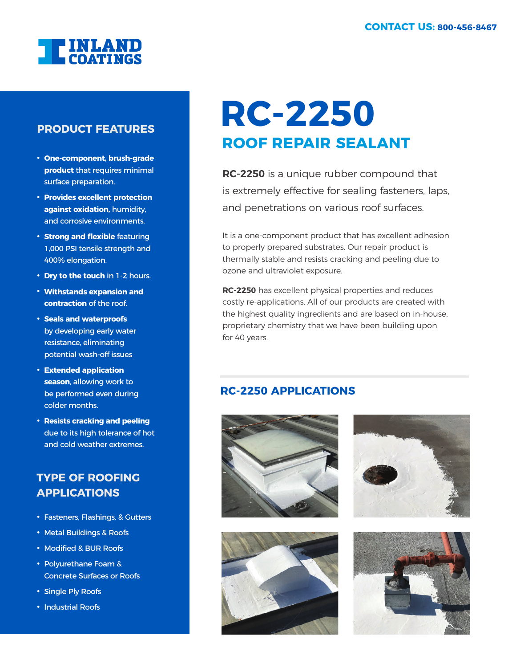

#### **PRODUCT FEATURES**

- **One-component, brush-grade product** that requires minimal surface preparation.
- **Provides excellent protection against oxidation,** humidity, and corrosive environments.
- **Strong and flexible** featuring 1,000 PSI tensile strength and 400% elongation.
- **Dry to the touch** in 1-2 hours.
- **Withstands expansion and contraction** of the roof.
- **Seals and waterproofs** by developing early water resistance, eliminating potential wash-off issues
- **Extended application season**, allowing work to be performed even during colder months.
- **Resists cracking and peeling** due to its high tolerance of hot and cold weather extremes.

### **TYPE OF ROOFING APPLICATIONS**

- Fasteners, Flashings, & Gutters
- Metal Buildings & Roofs
- Modified & BUR Roofs
- Polyurethane Foam & Concrete Surfaces or Roofs
- Single Ply Roofs
- Industrial Roofs

## **ROOF REPAIR SEALANT RC-2250**

**RC-2250** is a unique rubber compound that is extremely effective for sealing fasteners, laps, and penetrations on various roof surfaces.

It is a one-component product that has excellent adhesion to properly prepared substrates. Our repair product is thermally stable and resists cracking and peeling due to ozone and ultraviolet exposure.

**RC-2250** has excellent physical properties and reduces costly re-applications. All of our products are created with the highest quality ingredients and are based on in-house, proprietary chemistry that we have been building upon for 40 years.

#### **RC-2250 APPLICATIONS**